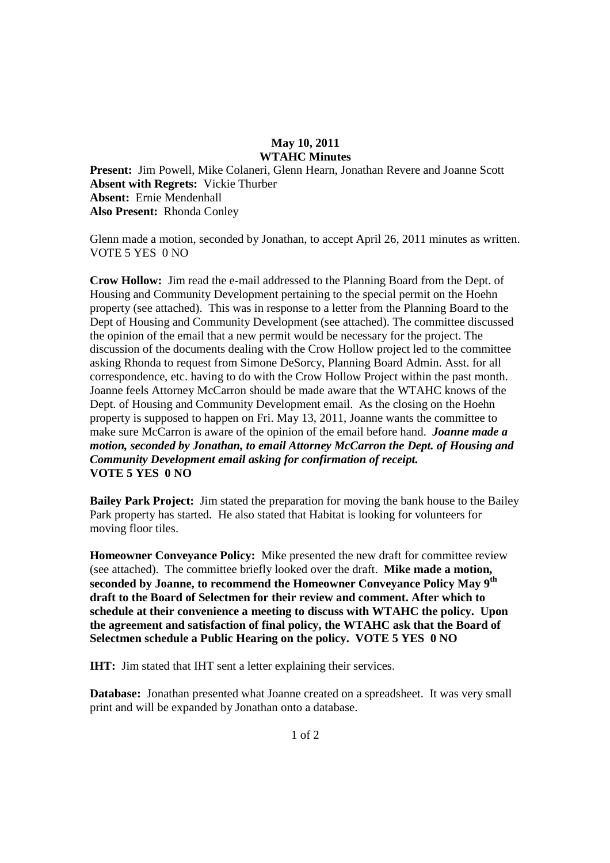### **May 10, 2011 WTAHC Minutes**

**Present:** Jim Powell, Mike Colaneri, Glenn Hearn, Jonathan Revere and Joanne Scott **Absent with Regrets:** Vickie Thurber **Absent:** Ernie Mendenhall **Also Present:** Rhonda Conley

Glenn made a motion, seconded by Jonathan, to accept April 26, 2011 minutes as written. VOTE 5 YES 0 NO

**Crow Hollow:** Jim read the e-mail addressed to the Planning Board from the Dept. of Housing and Community Development pertaining to the special permit on the Hoehn property (see attached). This was in response to a letter from the Planning Board to the Dept of Housing and Community Development (see attached). The committee discussed the opinion of the email that a new permit would be necessary for the project. The discussion of the documents dealing with the Crow Hollow project led to the committee asking Rhonda to request from Simone DeSorcy, Planning Board Admin. Asst. for all correspondence, etc. having to do with the Crow Hollow Project within the past month. Joanne feels Attorney McCarron should be made aware that the WTAHC knows of the Dept. of Housing and Community Development email. As the closing on the Hoehn property is supposed to happen on Fri. May 13, 2011, Joanne wants the committee to make sure McCarron is aware of the opinion of the email before hand. *Joanne made a motion, seconded by Jonathan, to email Attorney McCarron the Dept. of Housing and Community Development email asking for confirmation of receipt.*  **VOTE 5 YES 0 NO** 

**Bailey Park Project:** Jim stated the preparation for moving the bank house to the Bailey Park property has started. He also stated that Habitat is looking for volunteers for moving floor tiles.

**Homeowner Conveyance Policy:** Mike presented the new draft for committee review (see attached). The committee briefly looked over the draft. **Mike made a motion, seconded by Joanne, to recommend the Homeowner Conveyance Policy May 9th draft to the Board of Selectmen for their review and comment. After which to schedule at their convenience a meeting to discuss with WTAHC the policy. Upon the agreement and satisfaction of final policy, the WTAHC ask that the Board of Selectmen schedule a Public Hearing on the policy. VOTE 5 YES 0 NO** 

**IHT:** Jim stated that IHT sent a letter explaining their services.

**Database:** Jonathan presented what Joanne created on a spreadsheet. It was very small print and will be expanded by Jonathan onto a database.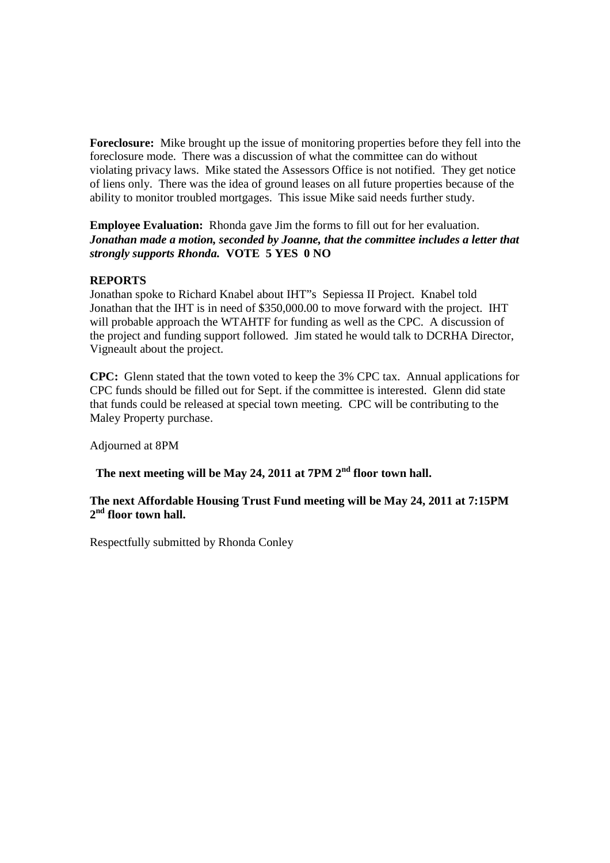**Foreclosure:** Mike brought up the issue of monitoring properties before they fell into the foreclosure mode. There was a discussion of what the committee can do without violating privacy laws. Mike stated the Assessors Office is not notified. They get notice of liens only. There was the idea of ground leases on all future properties because of the ability to monitor troubled mortgages. This issue Mike said needs further study.

**Employee Evaluation:** Rhonda gave Jim the forms to fill out for her evaluation. *Jonathan made a motion, seconded by Joanne, that the committee includes a letter that strongly supports Rhonda.* **VOTE 5 YES 0 NO** 

## **REPORTS**

Jonathan spoke to Richard Knabel about IHT"s Sepiessa II Project. Knabel told Jonathan that the IHT is in need of \$350,000.00 to move forward with the project. IHT will probable approach the WTAHTF for funding as well as the CPC. A discussion of the project and funding support followed. Jim stated he would talk to DCRHA Director, Vigneault about the project.

**CPC:** Glenn stated that the town voted to keep the 3% CPC tax. Annual applications for CPC funds should be filled out for Sept. if the committee is interested. Glenn did state that funds could be released at special town meeting. CPC will be contributing to the Maley Property purchase.

Adjourned at 8PM

# **The next meeting will be May 24, 2011 at 7PM 2nd floor town hall.**

## **The next Affordable Housing Trust Fund meeting will be May 24, 2011 at 7:15PM 2 nd floor town hall.**

Respectfully submitted by Rhonda Conley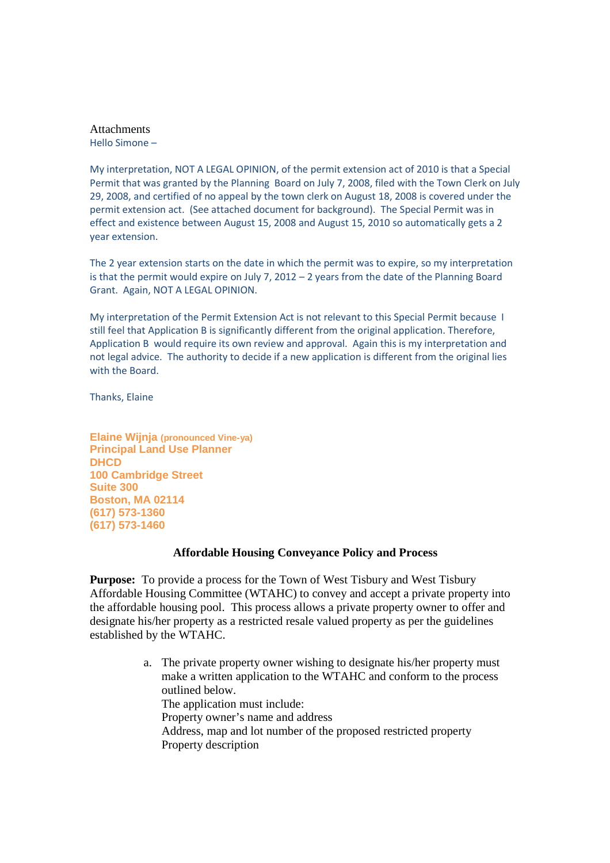Attachments Hello Simone –

My interpretation, NOT A LEGAL OPINION, of the permit extension act of 2010 is that a Special Permit that was granted by the Planning Board on July 7, 2008, filed with the Town Clerk on July 29, 2008, and certified of no appeal by the town clerk on August 18, 2008 is covered under the permit extension act. (See attached document for background). The Special Permit was in effect and existence between August 15, 2008 and August 15, 2010 so automatically gets a 2 year extension.

The 2 year extension starts on the date in which the permit was to expire, so my interpretation is that the permit would expire on July 7, 2012 – 2 years from the date of the Planning Board Grant. Again, NOT A LEGAL OPINION.

My interpretation of the Permit Extension Act is not relevant to this Special Permit because I still feel that Application B is significantly different from the original application. Therefore, Application B would require its own review and approval. Again this is my interpretation and not legal advice. The authority to decide if a new application is different from the original lies with the Board.

Thanks, Elaine

**Elaine Wijnja (pronounced Vine-ya) Principal Land Use Planner DHCD 100 Cambridge Street Suite 300 Boston, MA 02114 (617) 573-1360 (617) 573-1460** 

#### **Affordable Housing Conveyance Policy and Process**

**Purpose:** To provide a process for the Town of West Tisbury and West Tisbury Affordable Housing Committee (WTAHC) to convey and accept a private property into the affordable housing pool. This process allows a private property owner to offer and designate his/her property as a restricted resale valued property as per the guidelines established by the WTAHC.

> a. The private property owner wishing to designate his/her property must make a written application to the WTAHC and conform to the process outlined below. The application must include: Property owner's name and address Address, map and lot number of the proposed restricted property Property description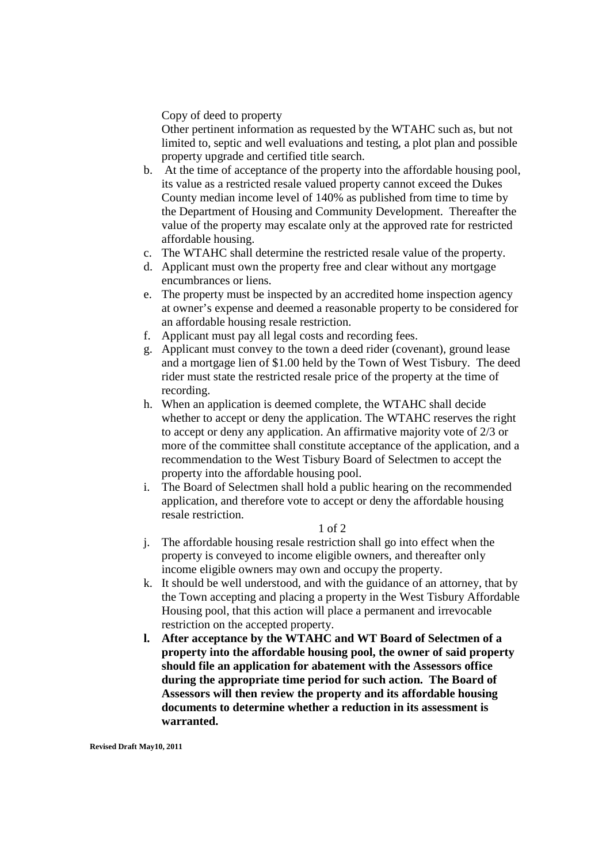Copy of deed to property

Other pertinent information as requested by the WTAHC such as, but not limited to, septic and well evaluations and testing, a plot plan and possible property upgrade and certified title search.

- b. At the time of acceptance of the property into the affordable housing pool, its value as a restricted resale valued property cannot exceed the Dukes County median income level of 140% as published from time to time by the Department of Housing and Community Development. Thereafter the value of the property may escalate only at the approved rate for restricted affordable housing.
- c. The WTAHC shall determine the restricted resale value of the property.
- d. Applicant must own the property free and clear without any mortgage encumbrances or liens.
- e. The property must be inspected by an accredited home inspection agency at owner's expense and deemed a reasonable property to be considered for an affordable housing resale restriction.
- f. Applicant must pay all legal costs and recording fees.
- g. Applicant must convey to the town a deed rider (covenant), ground lease and a mortgage lien of \$1.00 held by the Town of West Tisbury. The deed rider must state the restricted resale price of the property at the time of recording.
- h. When an application is deemed complete, the WTAHC shall decide whether to accept or deny the application. The WTAHC reserves the right to accept or deny any application. An affirmative majority vote of 2/3 or more of the committee shall constitute acceptance of the application, and a recommendation to the West Tisbury Board of Selectmen to accept the property into the affordable housing pool.
- i. The Board of Selectmen shall hold a public hearing on the recommended application, and therefore vote to accept or deny the affordable housing resale restriction.

#### 1 of 2

- j. The affordable housing resale restriction shall go into effect when the property is conveyed to income eligible owners, and thereafter only income eligible owners may own and occupy the property.
- k. It should be well understood, and with the guidance of an attorney, that by the Town accepting and placing a property in the West Tisbury Affordable Housing pool, that this action will place a permanent and irrevocable restriction on the accepted property.
- **l. After acceptance by the WTAHC and WT Board of Selectmen of a property into the affordable housing pool, the owner of said property should file an application for abatement with the Assessors office during the appropriate time period for such action. The Board of Assessors will then review the property and its affordable housing documents to determine whether a reduction in its assessment is warranted.**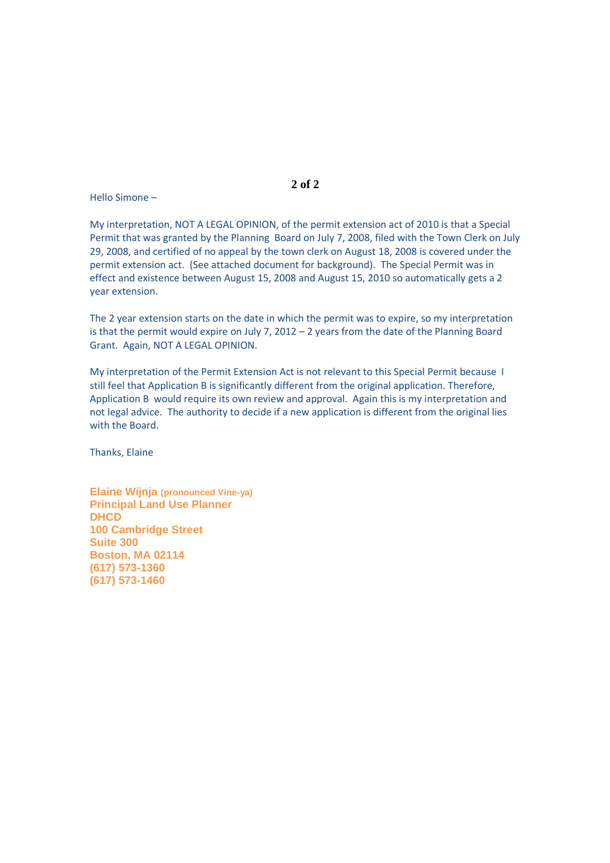Hello Simone –

My interpretation, NOT A LEGAL OPINION, of the permit extension act of 2010 is that a Special Permit that was granted by the Planning Board on July 7, 2008, filed with the Town Clerk on July 29, 2008, and certified of no appeal by the town clerk on August 18, 2008 is covered under the permit extension act. (See attached document for background). The Special Permit was in effect and existence between August 15, 2008 and August 15, 2010 so automatically gets a 2 year extension.

The 2 year extension starts on the date in which the permit was to expire, so my interpretation is that the permit would expire on July 7, 2012 – 2 years from the date of the Planning Board Grant. Again, NOT A LEGAL OPINION.

My interpretation of the Permit Extension Act is not relevant to this Special Permit because I still feel that Application B is significantly different from the original application. Therefore, Application B would require its own review and approval. Again this is my interpretation and not legal advice. The authority to decide if a new application is different from the original lies with the Board.

Thanks, Elaine

**Elaine Wijnja (pronounced Vine-ya) Principal Land Use Planner DHCD 100 Cambridge Street Suite 300 Boston, MA 02114 (617) 573-1360 (617) 573-1460** 

#### **2 of 2**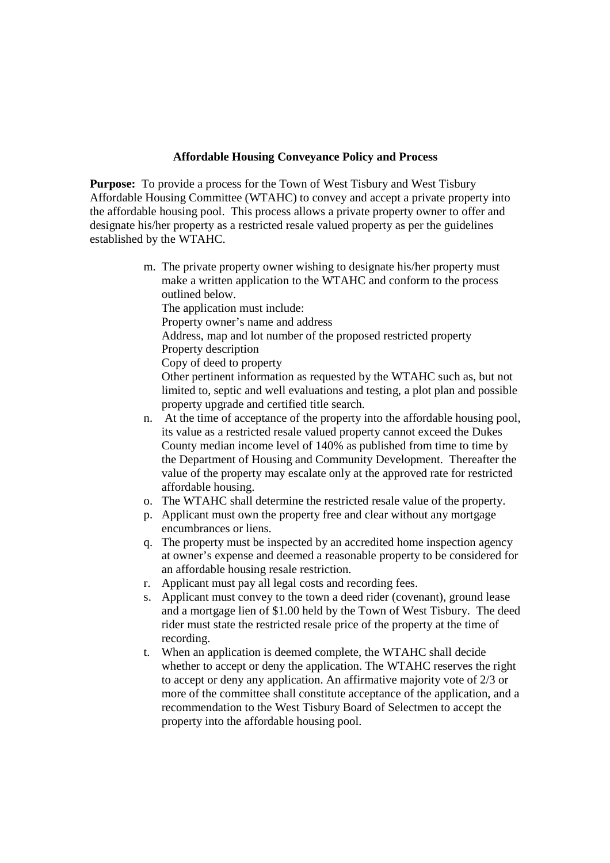## **Affordable Housing Conveyance Policy and Process**

**Purpose:** To provide a process for the Town of West Tisbury and West Tisbury Affordable Housing Committee (WTAHC) to convey and accept a private property into the affordable housing pool. This process allows a private property owner to offer and designate his/her property as a restricted resale valued property as per the guidelines established by the WTAHC.

> m. The private property owner wishing to designate his/her property must make a written application to the WTAHC and conform to the process outlined below.

The application must include: Property owner's name and address Address, map and lot number of the proposed restricted property Property description Copy of deed to property Other pertinent information as requested by the WTAHC such as, but not limited to, septic and well evaluations and testing, a plot plan and possible property upgrade and certified title search. n. At the time of acceptance of the property into the affordable housing pool,

- its value as a restricted resale valued property cannot exceed the Dukes County median income level of 140% as published from time to time by the Department of Housing and Community Development. Thereafter the value of the property may escalate only at the approved rate for restricted affordable housing.
- o. The WTAHC shall determine the restricted resale value of the property.
- p. Applicant must own the property free and clear without any mortgage encumbrances or liens.
- q. The property must be inspected by an accredited home inspection agency at owner's expense and deemed a reasonable property to be considered for an affordable housing resale restriction.
- r. Applicant must pay all legal costs and recording fees.
- s. Applicant must convey to the town a deed rider (covenant), ground lease and a mortgage lien of \$1.00 held by the Town of West Tisbury. The deed rider must state the restricted resale price of the property at the time of recording.
- t. When an application is deemed complete, the WTAHC shall decide whether to accept or deny the application. The WTAHC reserves the right to accept or deny any application. An affirmative majority vote of 2/3 or more of the committee shall constitute acceptance of the application, and a recommendation to the West Tisbury Board of Selectmen to accept the property into the affordable housing pool.